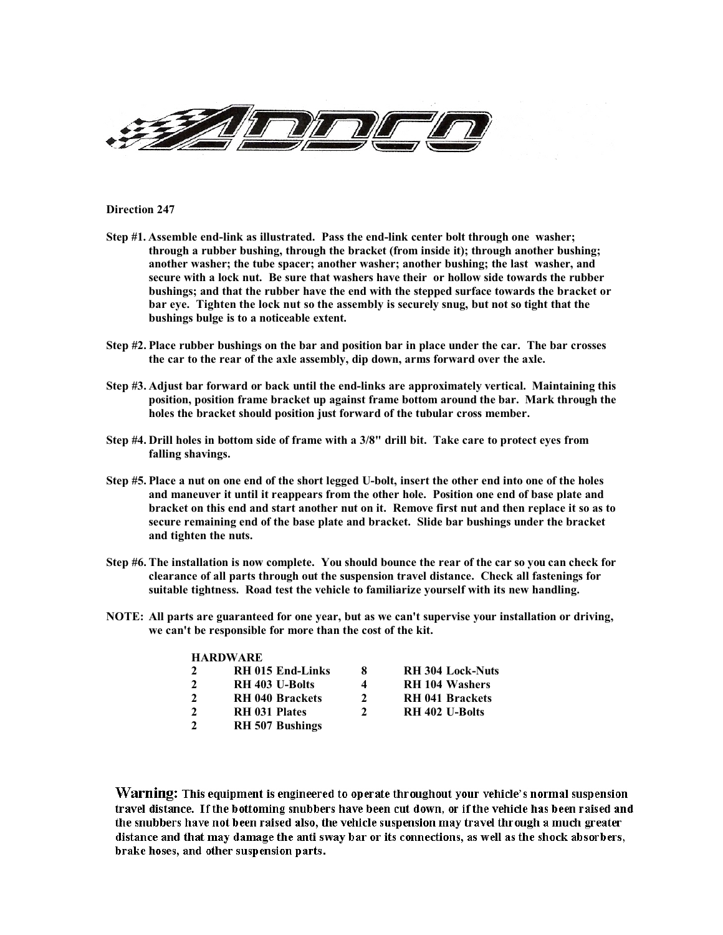

**Direction 247**

- **Step #1. Assemble end-link as illustrated. Pass the end-link center bolt through one washer; through a rubber bushing, through the bracket (from inside it); through another bushing; another washer; the tube spacer; another washer; another bushing; the last washer, and secure with a lock nut. Be sure that washers have their or hollow side towards the rubber bushings; and that the rubber have the end with the stepped surface towards the bracket or bar eye. Tighten the lock nut so the assembly is securely snug, but not so tight that the bushings bulge is to a noticeable extent.**
- **Step #2. Place rubber bushings on the bar and position bar in place under the car. The bar crosses the car to the rear of the axle assembly, dip down, arms forward over the axle.**
- **Step #3. Adjust bar forward or back until the end-links are approximately vertical. Maintaining this position, position frame bracket up against frame bottom around the bar. Mark through the holes the bracket should position just forward of the tubular cross member.**
- **Step #4. Drill holes in bottom side of frame with a 3/8" drill bit. Take care to protect eyes from falling shavings.**
- **Step #5. Place a nut on one end of the short legged U-bolt, insert the other end into one of the holes and maneuver it until it reappears from the other hole. Position one end of base plate and bracket on this end and start another nut on it. Remove first nut and then replace it so as to secure remaining end of the base plate and bracket. Slide bar bushings under the bracket and tighten the nuts.**
- **Step #6. The installation is now complete. You should bounce the rear of the car so you can check for clearance of all parts through out the suspension travel distance. Check all fastenings for suitable tightness. Road test the vehicle to familiarize yourself with its new handling.**
- **NOTE: All parts are guaranteed for one year, but as we can't supervise your installation or driving, we can't be responsible for more than the cost of the kit.**

## **HARDWARE**

| $\mathcal{L}$ | <b>RH 015 End-Links</b> | 8             | <b>RH 304 Lock-Nuts</b> |
|---------------|-------------------------|---------------|-------------------------|
| $\mathcal{P}$ | RH 403 U-Bolts          | 4             | <b>RH 104 Washers</b>   |
| $\mathcal{L}$ | <b>RH 040 Brackets</b>  | 2             | <b>RH 041 Brackets</b>  |
| $\mathcal{P}$ | <b>RH 031 Plates</b>    | $\mathcal{L}$ | RH 402 U-Bolts          |
| C             | <b>RH 507 Bushings</b>  |               |                         |

Warning: This equipment is engineered to operate throughout your vehicle's normal suspension travel distance. If the bottoming snubbers have been cut down, or if the vehicle has been raised and the snubbers have not been raised also, the vehicle suspension may travel through a much greater distance and that may damage the anti sway bar or its connections, as well as the shock absorbers, brake hoses, and other suspension parts.